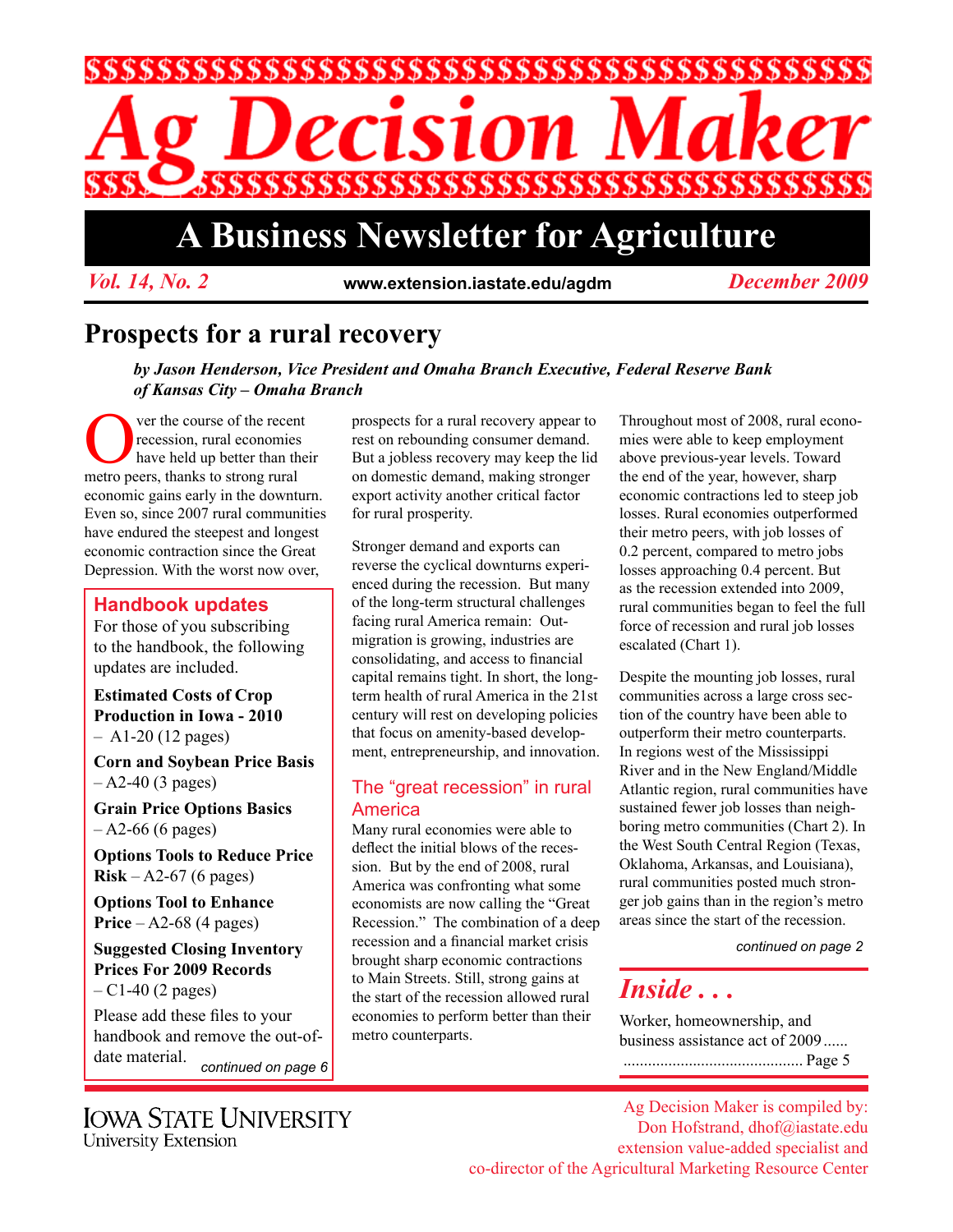

# **A Business Newsletter for Agriculture**

*Vol. 14, No. 2* **www.extension.iastate.edu/agdm** *December 2009*

## **Prospects for a rural recovery**

*by Jason Henderson, Vice President and Omaha Branch Executive, Federal Reserve Bank of Kansas City – Omaha Branch*

The course of the recent<br>recession, rural economies<br>have held up better than the<br>metro peers thanks to strong rural recession, rural economies have held up better than their metro peers, thanks to strong rural economic gains early in the downturn. Even so, since 2007 rural communities have endured the steepest and longest economic contraction since the Great Depression. With the worst now over,

#### **Handbook updates**

For those of you subscribing to the handbook, the following updates are included.

**Estimated Costs of Crop Production in Iowa - 2010**  $-$  A1-20 (12 pages)

**Corn and Soybean Price Basis**   $-$  A2-40 (3 pages)

**Grain Price Options Basics**  – A2-66 (6 pages)

**Options Tools to Reduce Price Risk** – A2-67 (6 pages)

**Options Tool to Enhance Price** – A2-68 (4 pages)

**Suggested Closing Inventory Prices For 2009 Records**  $- C1 - 40$  (2 pages)

Please add these files to your handbook and remove the out-ofdate material. *continued on page 6*

**IOWA STATE UNIVERSITY** University Extension

prospects for a rural recovery appear to rest on rebounding consumer demand. But a jobless recovery may keep the lid on domestic demand, making stronger export activity another critical factor for rural prosperity.

Stronger demand and exports can reverse the cyclical downturns experienced during the recession. But many of the long-term structural challenges facing rural America remain: Outmigration is growing, industries are consolidating, and access to financial capital remains tight. In short, the longterm health of rural America in the 21st century will rest on developing policies that focus on amenity-based development, entrepreneurship, and innovation.

#### The "great recession" in rural America

Many rural economies were able to deflect the initial blows of the recession. But by the end of 2008, rural America was confronting what some economists are now calling the "Great Recession." The combination of a deep recession and a financial market crisis brought sharp economic contractions to Main Streets. Still, strong gains at the start of the recession allowed rural economies to perform better than their metro counterparts.

Throughout most of 2008, rural economies were able to keep employment above previous-year levels. Toward the end of the year, however, sharp economic contractions led to steep job losses. Rural economies outperformed their metro peers, with job losses of 0.2 percent, compared to metro jobs losses approaching 0.4 percent. But as the recession extended into 2009, rural communities began to feel the full force of recession and rural job losses escalated (Chart 1).

Despite the mounting job losses, rural communities across a large cross section of the country have been able to outperform their metro counterparts. In regions west of the Mississippi River and in the New England/Middle Atlantic region, rural communities have sustained fewer job losses than neighboring metro communities (Chart 2). In the West South Central Region (Texas, Oklahoma, Arkansas, and Louisiana), rural communities posted much stronger job gains than in the region's metro areas since the start of the recession.

*continued on page 2*

# *Inside . . .*

Worker, homeownership, and business assistance act of 2009...... ............................................ Page 5

Ag Decision Maker is compiled by: Don Hofstrand, dhof@iastate.edu extension value-added specialist and co-director of the Agricultural Marketing Resource Center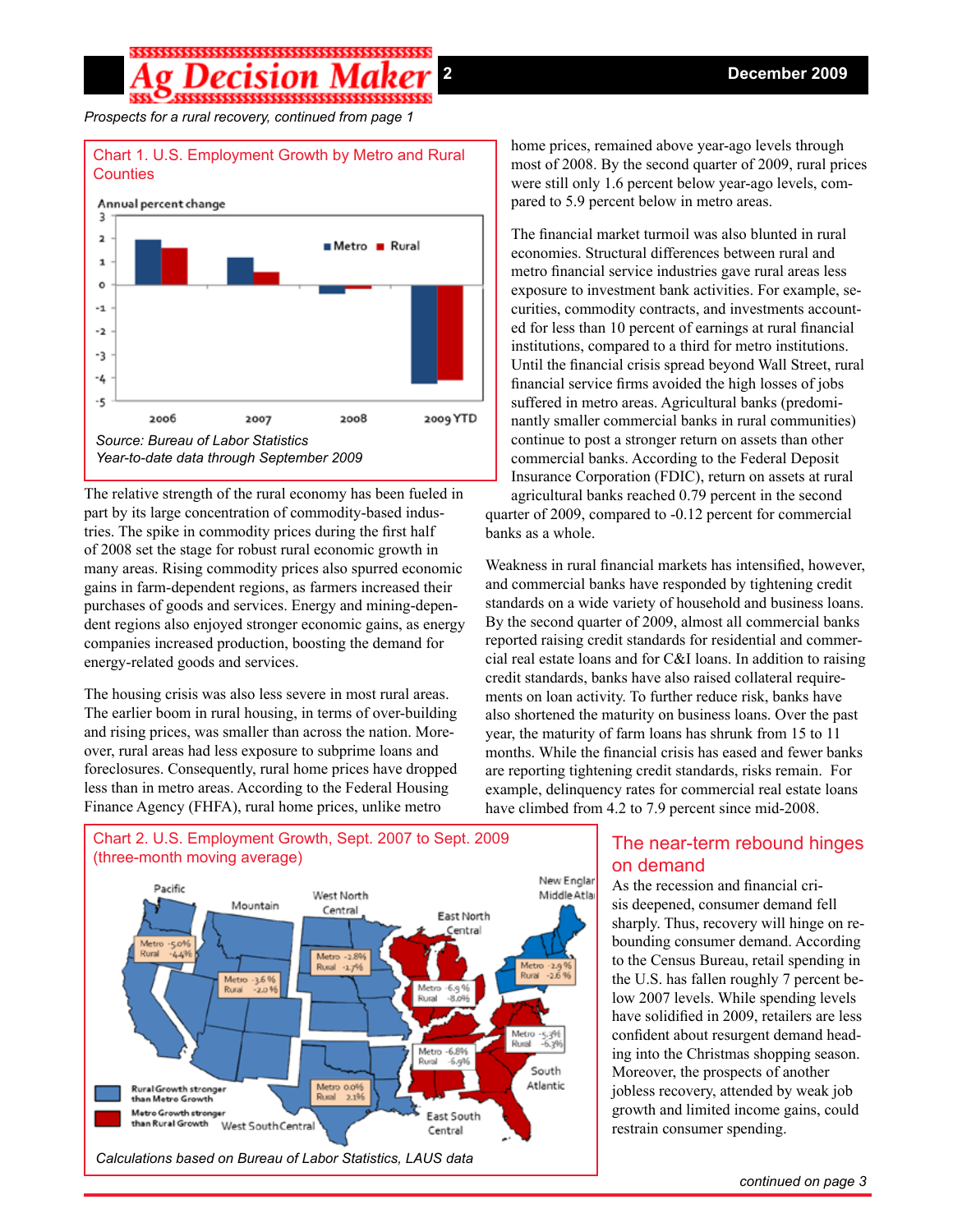## 

*Prospects for a rural recovery, continued from page 1*



The relative strength of the rural economy has been fueled in part by its large concentration of commodity-based industries. The spike in commodity prices during the first half of 2008 set the stage for robust rural economic growth in many areas. Rising commodity prices also spurred economic gains in farm-dependent regions, as farmers increased their purchases of goods and services. Energy and mining-dependent regions also enjoyed stronger economic gains, as energy companies increased production, boosting the demand for energy-related goods and services.

The housing crisis was also less severe in most rural areas. The earlier boom in rural housing, in terms of over-building and rising prices, was smaller than across the nation. Moreover, rural areas had less exposure to subprime loans and foreclosures. Consequently, rural home prices have dropped less than in metro areas. According to the Federal Housing Finance Agency (FHFA), rural home prices, unlike metro



#### home prices, remained above year-ago levels through most of 2008. By the second quarter of 2009, rural prices were still only 1.6 percent below year-ago levels, compared to 5.9 percent below in metro areas.

The financial market turmoil was also blunted in rural economies. Structural differences between rural and metro financial service industries gave rural areas less exposure to investment bank activities. For example, securities, commodity contracts, and investments accounted for less than 10 percent of earnings at rural financial institutions, compared to a third for metro institutions. Until the financial crisis spread beyond Wall Street, rural financial service firms avoided the high losses of jobs suffered in metro areas. Agricultural banks (predominantly smaller commercial banks in rural communities) continue to post a stronger return on assets than other commercial banks. According to the Federal Deposit Insurance Corporation (FDIC), return on assets at rural

agricultural banks reached 0.79 percent in the second quarter of 2009, compared to -0.12 percent for commercial banks as a whole.

Weakness in rural financial markets has intensified, however, and commercial banks have responded by tightening credit standards on a wide variety of household and business loans. By the second quarter of 2009, almost all commercial banks reported raising credit standards for residential and commercial real estate loans and for C&I loans. In addition to raising credit standards, banks have also raised collateral requirements on loan activity. To further reduce risk, banks have also shortened the maturity on business loans. Over the past year, the maturity of farm loans has shrunk from 15 to 11 months. While the financial crisis has eased and fewer banks are reporting tightening credit standards, risks remain. For example, delinquency rates for commercial real estate loans have climbed from 4.2 to 7.9 percent since mid-2008.

#### The near-term rebound hinges on demand

As the recession and financial crisis deepened, consumer demand fell sharply. Thus, recovery will hinge on rebounding consumer demand. According to the Census Bureau, retail spending in the U.S. has fallen roughly 7 percent below 2007 levels. While spending levels have solidified in 2009, retailers are less confident about resurgent demand heading into the Christmas shopping season. Moreover, the prospects of another jobless recovery, attended by weak job growth and limited income gains, could restrain consumer spending.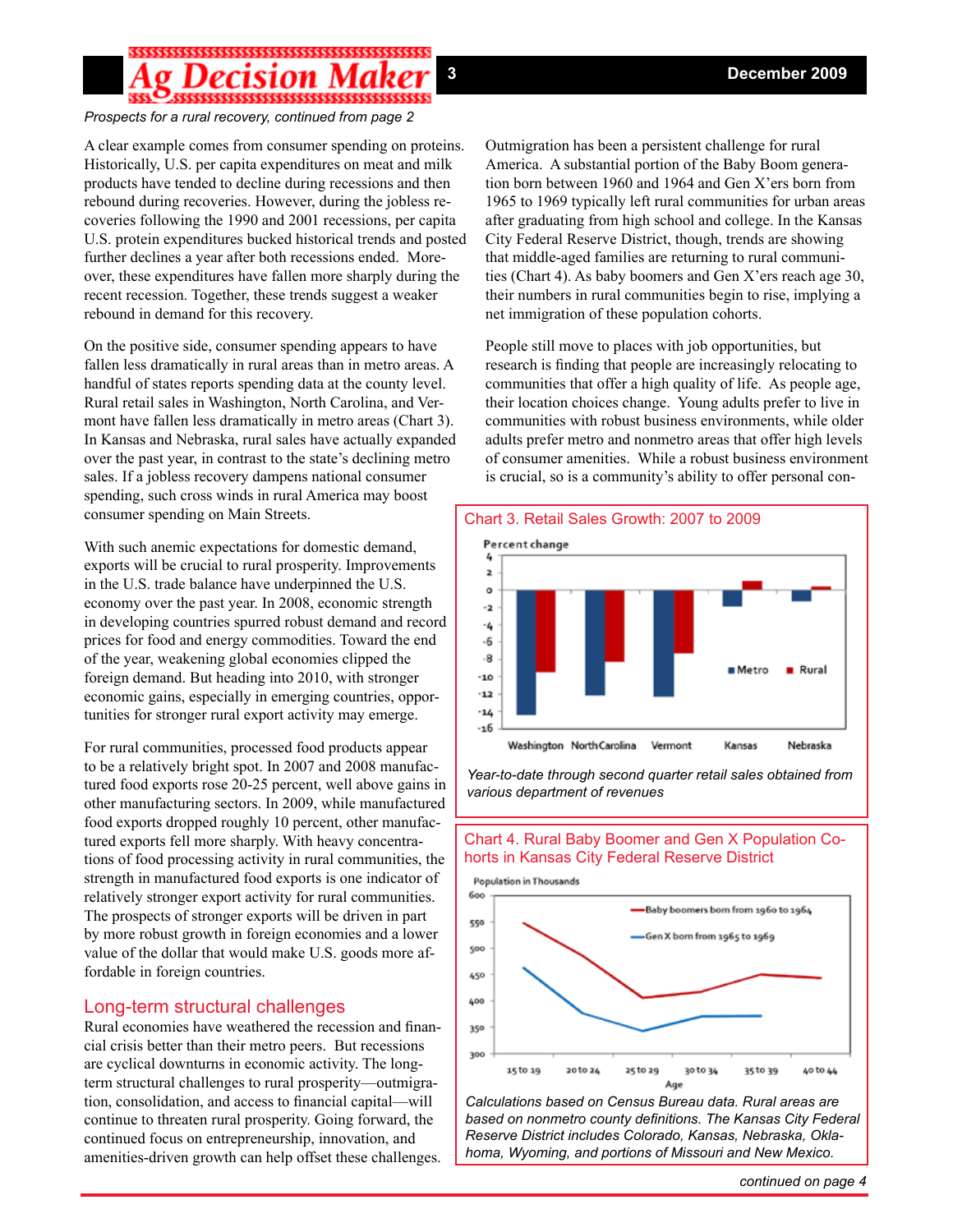## 

#### *Prospects for a rural recovery, continued from page 2*

A clear example comes from consumer spending on proteins. Historically, U.S. per capita expenditures on meat and milk products have tended to decline during recessions and then rebound during recoveries. However, during the jobless recoveries following the 1990 and 2001 recessions, per capita U.S. protein expenditures bucked historical trends and posted further declines a year after both recessions ended. Moreover, these expenditures have fallen more sharply during the recent recession. Together, these trends suggest a weaker rebound in demand for this recovery.

On the positive side, consumer spending appears to have fallen less dramatically in rural areas than in metro areas. A handful of states reports spending data at the county level. Rural retail sales in Washington, North Carolina, and Vermont have fallen less dramatically in metro areas (Chart 3). In Kansas and Nebraska, rural sales have actually expanded over the past year, in contrast to the state's declining metro sales. If a jobless recovery dampens national consumer spending, such cross winds in rural America may boost consumer spending on Main Streets.

With such anemic expectations for domestic demand, exports will be crucial to rural prosperity. Improvements in the U.S. trade balance have underpinned the U.S. economy over the past year. In 2008, economic strength in developing countries spurred robust demand and record prices for food and energy commodities. Toward the end of the year, weakening global economies clipped the foreign demand. But heading into 2010, with stronger economic gains, especially in emerging countries, opportunities for stronger rural export activity may emerge.

For rural communities, processed food products appear to be a relatively bright spot. In 2007 and 2008 manufactured food exports rose 20-25 percent, well above gains in other manufacturing sectors. In 2009, while manufactured food exports dropped roughly 10 percent, other manufactured exports fell more sharply. With heavy concentrations of food processing activity in rural communities, the strength in manufactured food exports is one indicator of relatively stronger export activity for rural communities. The prospects of stronger exports will be driven in part by more robust growth in foreign economies and a lower value of the dollar that would make U.S. goods more affordable in foreign countries.

#### Long-term structural challenges

Rural economies have weathered the recession and financial crisis better than their metro peers. But recessions are cyclical downturns in economic activity. The longterm structural challenges to rural prosperity—outmigration, consolidation, and access to financial capital—will continue to threaten rural prosperity. Going forward, the continued focus on entrepreneurship, innovation, and amenities-driven growth can help offset these challenges.

Outmigration has been a persistent challenge for rural America. A substantial portion of the Baby Boom generation born between 1960 and 1964 and Gen X'ers born from 1965 to 1969 typically left rural communities for urban areas after graduating from high school and college. In the Kansas City Federal Reserve District, though, trends are showing that middle-aged families are returning to rural communities (Chart 4). As baby boomers and Gen X'ers reach age 30, their numbers in rural communities begin to rise, implying a net immigration of these population cohorts.

People still move to places with job opportunities, but research is finding that people are increasingly relocating to communities that offer a high quality of life. As people age, their location choices change. Young adults prefer to live in communities with robust business environments, while older adults prefer metro and nonmetro areas that offer high levels of consumer amenities. While a robust business environment is crucial, so is a community's ability to offer personal con-



*Year-to-date through second quarter retail sales obtained from various department of revenues*

#### Chart 4. Rural Baby Boomer and Gen X Population Cohorts in Kansas City Federal Reserve District